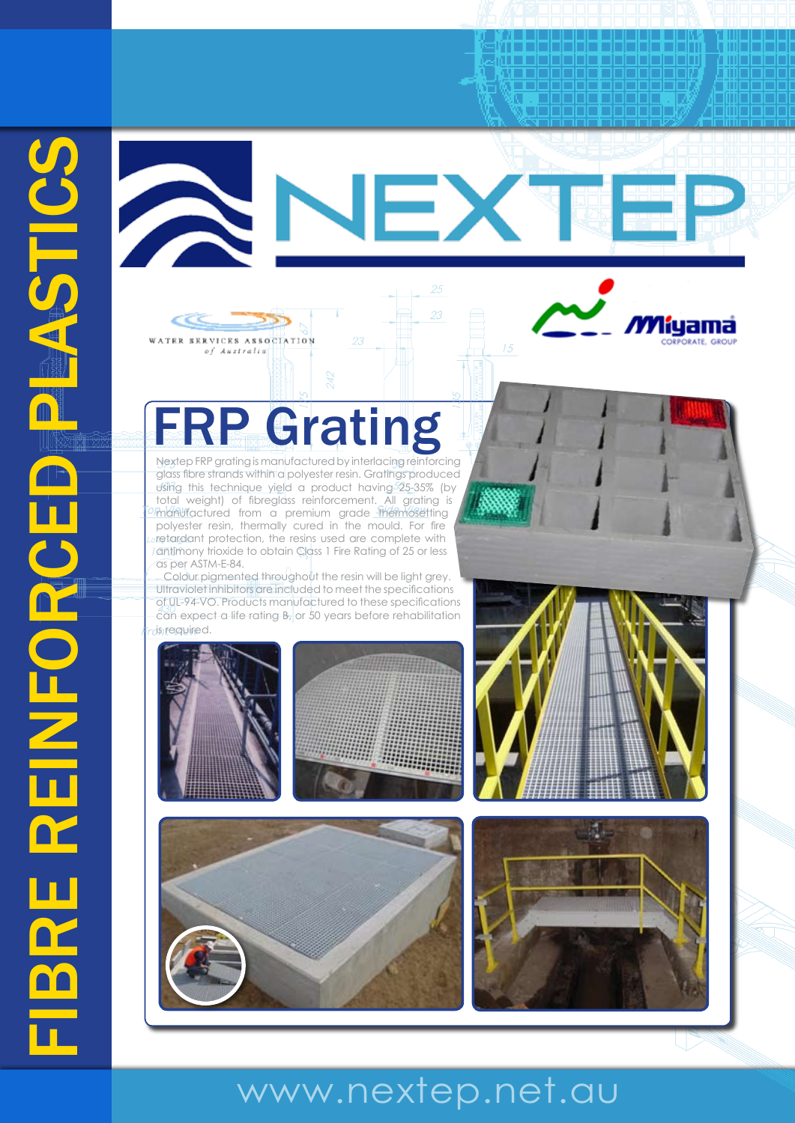



RVICES ASSOCIATION of Australia

Nextep FRP grating is manufactured by interlacing reinforcing glass fibre strands within a polyester resin. Gratings produced using this technique yield a product having  $525-35\%$  (by total weight) of fibreglass reinforcement. All grating is manufactured from a premium grade thermosetting polyester resin, thermally cured in the mould. For fire retardant protection, the resins used are complete with antimony trioxide to obtain Class 1 Fire Rating of 25 or less as per ASTM-E-84.

Colour pigmented throughout the resin will be light grey. Ultraviolet inhibitors are included to meet the specifications of UL-94-VO. Products manufactured to these specifications can expect a life rating B, or 50 years before rehabilitation is required.







<u> Elektronické královstva († 18. února 1888)</u>

lama

# www.nextep.net.au